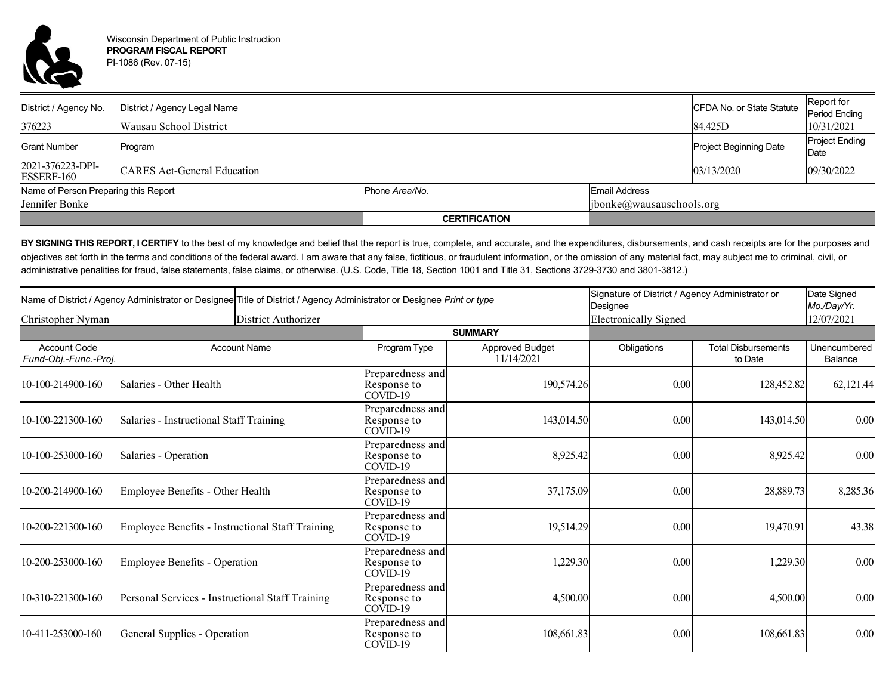

| District / Agency No.                | District / Agency Legal Name       |                      |                            | CFDA No. or State Statute | Report for<br>Period Ending   |  |
|--------------------------------------|------------------------------------|----------------------|----------------------------|---------------------------|-------------------------------|--|
| 376223                               | <b>Wausau School District</b>      |                      |                            | 84.425D                   | 10/31/2021                    |  |
| <b>Grant Number</b>                  | Program                            |                      |                            | Project Beginning Date    | <b>Project Ending</b><br>Date |  |
| 2021-376223-DPI-<br>ESSERF-160       | <b>CARES</b> Act-General Education |                      |                            | 03/13/2020                | 09/30/2022                    |  |
| Name of Person Preparing this Report |                                    | Phone Area/No.       | <b>Email Address</b>       |                           |                               |  |
| Jennifer Bonke                       |                                    |                      | [ibonke@wausauschools.org] |                           |                               |  |
|                                      |                                    | <b>CERTIFICATION</b> |                            |                           |                               |  |

BY SIGNING THIS REPORT, I CERTIFY to the best of my knowledge and belief that the report is true, complete, and accurate, and the expenditures, disbursements, and cash receipts are for the purposes and objectives set forth in the terms and conditions of the federal award. I am aware that any false, fictitious, or fraudulent information, or the omission of any material fact, may subject me to criminal, civil, or administrative penalities for fraud, false statements, false claims, or otherwise. (U.S. Code, Title 18, Section 1001 and Title 31, Sections 3729-3730 and 3801-3812.)

| Christopher Nyman                            |                                                  | Name of District / Agency Administrator or Designee Title of District / Agency Administrator or Designee Print or type |                                               |                               | Signature of District / Agency Administrator or<br>Designee |                                       | Date Signed<br>Mo./Day/Yr. |  |
|----------------------------------------------|--------------------------------------------------|------------------------------------------------------------------------------------------------------------------------|-----------------------------------------------|-------------------------------|-------------------------------------------------------------|---------------------------------------|----------------------------|--|
|                                              |                                                  | District Authorizer                                                                                                    | <b>Electronically Signed</b>                  |                               |                                                             |                                       | 12/07/2021                 |  |
|                                              |                                                  |                                                                                                                        | <b>SUMMARY</b>                                |                               |                                                             |                                       |                            |  |
| <b>Account Code</b><br>Fund-Obj.-Func.-Proj. |                                                  | <b>Account Name</b>                                                                                                    | Program Type                                  | Approved Budget<br>11/14/2021 | Obligations                                                 | <b>Total Disbursements</b><br>to Date | Unencumbered<br>Balance    |  |
| 10-100-214900-160                            | Salaries - Other Health                          |                                                                                                                        | Preparedness and<br>Response to<br>$COVID-19$ | 190,574.26                    | 0.00                                                        | 128,452.82                            | 62,121.44                  |  |
| 10-100-221300-160                            | Salaries - Instructional Staff Training          |                                                                                                                        | Preparedness and<br>Response to<br>$COVID-19$ | 143,014.50                    | 0.00                                                        | 143,014.50                            | $0.00\,$                   |  |
| 10-100-253000-160                            | Salaries - Operation                             |                                                                                                                        | Preparedness and<br>Response to<br>$COVID-19$ | 8,925.42                      | 0.00                                                        | 8,925.42                              | 0.00                       |  |
| 10-200-214900-160                            | Employee Benefits - Other Health                 |                                                                                                                        | Preparedness and<br>Response to<br>COVID-19   | 37,175.09                     | 0.00                                                        | 28,889.73                             | 8,285.36                   |  |
| 10-200-221300-160                            | Employee Benefits - Instructional Staff Training |                                                                                                                        | Preparedness and<br>Response to<br>$COVID-19$ | 19,514.29                     | 0.00                                                        | 19,470.91                             | 43.38                      |  |
| 10-200-253000-160                            | Employee Benefits - Operation                    |                                                                                                                        | Preparedness and<br>Response to<br>$COVID-19$ | 1,229.30                      | 0.00                                                        | 1,229.30                              | 0.00                       |  |
| 10-310-221300-160                            | Personal Services - Instructional Staff Training |                                                                                                                        | Preparedness and<br>Response to<br>COVID-19   | 4,500.00                      | 0.00                                                        | 4,500.00                              | 0.00                       |  |
| 10-411-253000-160                            | General Supplies - Operation                     |                                                                                                                        | Preparedness and<br>Response to<br>$COVID-19$ | 108,661.83                    | 0.00                                                        | 108,661.83                            | 0.00                       |  |